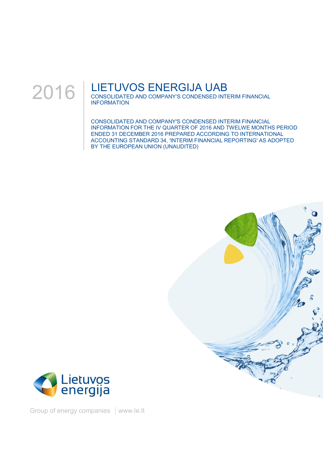

## LIETUVOS ENERGIJA UAB

CONSOLIDATED AND COMPANY'S CONDENSED INTERIM FINANCIAL INFORMATION

CONSOLIDATED AND COMPANY'S CONDENSED INTERIM FINANCIAL INFORMATION FOR THE IV QUARTER OF 2016 AND TWELWE MONTHS PERIOD ENDED 31 DECEMBER 2016 PREPARED ACCORDING TO INTERNATIONAL ACCOUNTING STANDARD 34, 'INTERIM FINANCIAL REPORTING' AS ADOPTED BY THE EUROPEAN UNION (UNAUDITED)





Group of energy companies | www.le.lt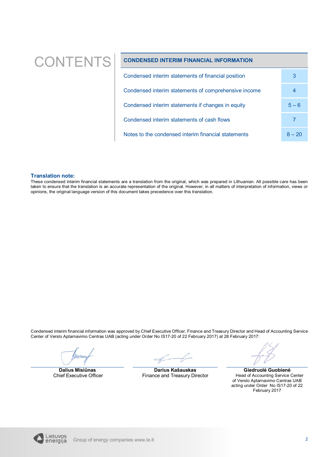# $\text{CONTENTS}$  condensed interim financial information

| Condensed interim statements of financial position   | 3        |
|------------------------------------------------------|----------|
| Condensed interim statements of comprehensive income | 4        |
| Condensed interim statements if changes in equity    | $5 - 6$  |
| Condensed interim statements of cash flows           |          |
| Notes to the condensed interim financial statements  | $8 - 20$ |

### **Translation note:**

These condensed interim financial statements are a translation from the original, which was prepared in Lithuanian. All possible care has been taken to ensure that the translation is an accurate representation of the original. However, in all matters of interpretation of information, views or opinions, the original language version of this document takes precedence over this translation.

Condensed interim financial information was approved by Chief Executive Officer, Finance and Treasury Director and Head of Accounting Service Center of Verslo Aptarnavimo Centras UAB (acting under Order No IS17-20 of 22 February 2017) at 28 February 2017:

Wellen

**Dalius Misiūnas** Chief Executive Officer

**Darius Kašauskas** Finance and Treasury Director

**Giedruolė Guobienė** Head of Accounting Service Center of Verslo Aptarnavimo Centras UAB acting under Order No IS17-20 of 22 February 2017

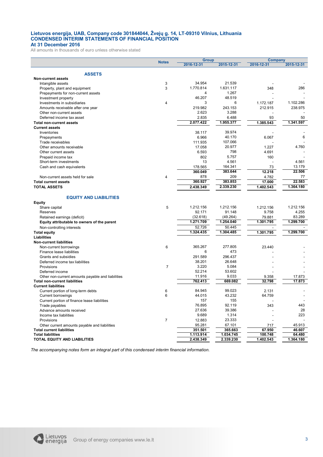#### **Lietuvos energija, UAB, Company code 301844044, Žvejų g. 14, LT-09310 Vilnius, Lithuania CONDENSED INTERIM STATEMENTS OF FINANCIAL POSITION At 31 December 2016**

All amounts in thousands of euro unless otherwise stated

|                                                                                           |                  |                | <b>Group</b>   |            | Company          |  |
|-------------------------------------------------------------------------------------------|------------------|----------------|----------------|------------|------------------|--|
|                                                                                           | <b>Notes</b>     | 2016-12-31     | 2015-12-31     | 2016-12-31 | 2015-12-31       |  |
|                                                                                           |                  |                |                |            |                  |  |
| <b>ASSETS</b>                                                                             |                  |                |                |            |                  |  |
| <b>Non-current assets</b>                                                                 |                  |                |                |            |                  |  |
| Intangible assets                                                                         | 3                | 34.954         | 21.539         |            |                  |  |
| Property, plant and equipment                                                             | 3                | 1.770.814      | 1.631.117      | 348        | 286              |  |
| Prepayments for non-current assets                                                        |                  | 4              | 1.267          |            |                  |  |
| Investment property                                                                       |                  | 46.207         | 48.519         |            |                  |  |
| Investments in subsidiaries                                                               | 4                | 3              | 6              | 1.172.187  | 1.102.286        |  |
| Amounts receivable after one year                                                         |                  | 219.982        | 243.153        | 212.915    | 238.975          |  |
| Other non-current assets                                                                  |                  | 2.623          | 3.288          |            |                  |  |
| Deferred income tax asset                                                                 |                  | 2.835          | 6.488          | 93         | 50               |  |
| <b>Total non-current assets</b>                                                           |                  | 2.077.422      | 1.955.377      | 1.385.543  | 1.341.597        |  |
| <b>Current assets</b>                                                                     |                  |                |                |            |                  |  |
| Inventories                                                                               |                  | 38.117         | 39.974         |            |                  |  |
| Prepayments                                                                               |                  | 6.966          | 40.170         | 6.067      | 6                |  |
| Trade receivables                                                                         |                  | 111.935        | 107.066        |            |                  |  |
| Other amounts receivable                                                                  |                  | 17.058         | 20.977         | 1.227      | 4.760            |  |
| Other current assets                                                                      |                  | 6.593          | 798            | 4.691      |                  |  |
| Prepaid income tax                                                                        |                  | 802            | 5.757          | 160        |                  |  |
| Short-term investments                                                                    |                  | 13             | 4.561          |            | 4.561            |  |
|                                                                                           |                  | 178.565        | 164.341        | 73         | 13.179           |  |
| Cash and cash equivalents                                                                 |                  |                | 383.644        |            | 22.506           |  |
|                                                                                           |                  | 360.049<br>878 |                | 12.218     | 77               |  |
| Non-current assets held for sale                                                          | $\overline{4}$   |                | 209<br>383.853 | 4.782      |                  |  |
| <b>Total current assets</b>                                                               |                  | 360.927        |                | 17.000     | 22.583           |  |
| <b>TOTAL ASSETS</b>                                                                       |                  | 2.438.349      | 2.339.230      | 1.402.543  | 1.364.180        |  |
|                                                                                           |                  |                |                |            |                  |  |
| <b>EQUITY AND LIABILITIES</b>                                                             |                  |                |                |            |                  |  |
| <b>Equity</b>                                                                             |                  |                |                |            |                  |  |
| Share capital                                                                             | 5                | 1.212.156      | 1.212.156      | 1.212.156  | 1.212.156        |  |
| Reserves                                                                                  |                  | 92.171         | 91.148         | 9.758      | 4.255            |  |
| Retained earnings (deficit)                                                               |                  | (32.618)       | (49.264)       | 79.881     | 83.289           |  |
| Equity attributable to owners of the parent                                               |                  | 1.271.709      | 1.254.040      | 1.301.795  | 1.299.700        |  |
| Non-controlling interests                                                                 |                  | 52.726         | 50.445         |            |                  |  |
| <b>Total equity</b>                                                                       |                  | 1.324.435      | 1.304.485      | 1.301.795  | 1.299.700        |  |
| Liabilities                                                                               |                  |                |                |            |                  |  |
| <b>Non-current liabilities</b>                                                            |                  |                |                |            |                  |  |
| Non-current borrowings                                                                    | 6                | 365.267        | 277.805        | 23.440     |                  |  |
| Finance lease liabilities                                                                 |                  | 6              | 473            |            |                  |  |
| Grants and subsidies                                                                      |                  | 291.589        | 296.437        |            |                  |  |
| Deferred income tax liabilities                                                           |                  | 38.201         | 26.648         |            |                  |  |
| Provisions                                                                                | $\overline{7}$   | 3.220          | 5.084          |            |                  |  |
|                                                                                           |                  | 52.214         | 53.602         |            |                  |  |
| Deferred income                                                                           |                  |                |                |            |                  |  |
| Other non-current amounts payable and liabilities<br><b>Total non-current liabilities</b> |                  | 11.916         | 9.033          | 9.358      | 17.873<br>17.873 |  |
| <b>Current liabilities</b>                                                                |                  | 762.413        | 669.082        | 32.798     |                  |  |
|                                                                                           |                  |                |                |            |                  |  |
| Current portion of long-term debts                                                        | 6                | 84.945         | 99.023         | 2.131      |                  |  |
| Current borrowings                                                                        | 6                | 44.015         | 43.232         | 64.759     |                  |  |
| Current portion of finance lease liabilities                                              |                  | 157            | 155            |            |                  |  |
| Trade payables                                                                            |                  | 76.895         | 92.119         | 343        | 443              |  |
| Advance amounts received                                                                  |                  | 27.636         | 39.386         |            | 28               |  |
| Income tax liabilities                                                                    |                  | 9.689          | 1.314          |            | 223              |  |
| Provisions                                                                                | $\boldsymbol{7}$ | 12.883         | 23.333         |            |                  |  |
| Other current amounts payable and liabilities                                             |                  | 95.281         | 67.101         | 717        | 45.913           |  |
| <b>Total current liabilities</b>                                                          |                  | 351.501        | 365.663        | 67.950     | 46.607           |  |
| <b>Total liabilities</b>                                                                  |                  | 1.113.914      | 1.034.745      | 100.748    | 64.480           |  |
| TOTAL EQUITY AND LIABILITIES                                                              |                  | 2.438.349      | 2.339.230      | 1.402.543  | 1.364.180        |  |

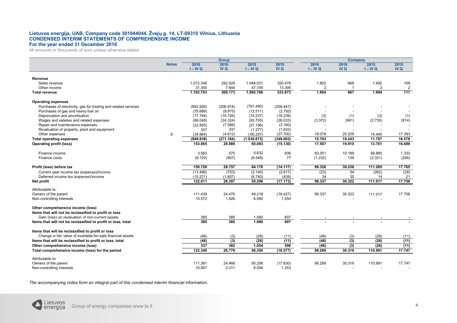#### **Lietuvos energija, UAB, Company code 301844044, Žvejų g. 14, LT-09310 Vilnius, Lithuania CONDENSED INTERIM STATEMENTS OF COMPREHENSIVE INCOME For the year ended 31 December 2016**

All amounts in thousands of euro unless otherwise stated

|                                                                |              | <b>Group</b> |            |             |           | Company        |        |                |                |
|----------------------------------------------------------------|--------------|--------------|------------|-------------|-----------|----------------|--------|----------------|----------------|
|                                                                | <b>Notes</b> | 2016         | 2016       | 2015        | 2015      | 2016           | 2016   | 2015           | 2015           |
|                                                                |              | $I - IV Q$   | <b>IVQ</b> | $I - IV Q$  | IV Q      | $I - IV Q$     | IV Q   | $I - IV Q$     | IV Q           |
|                                                                |              |              |            |             |           |                |        |                |                |
| Revenue                                                        |              |              |            |             |           |                |        |                |                |
| Sales revenue                                                  |              | 1.072.348    | 292.529    | 1.048.021   | 320.478   | 1.802          | 666    | 1.992          | 109            |
| Other income                                                   |              | 31.355       | 7.644      | 47.745      | 13.395    | $\overline{2}$ |        | $\overline{2}$ | $\overline{2}$ |
| <b>Total revenue</b>                                           |              | 1.103.703    | 300.173    | 1.095.766   | 333.873   | 1.804          | 667    | 1.994          | 111            |
| <b>Operating expenses</b>                                      |              |              |            |             |           |                |        |                |                |
| Purchases of electricity, gas for trading and related services |              | (692.926)    | (206.918)  | (761.490)   | (259.447) |                |        |                |                |
| Purchases of gas and heavy fuel oil                            |              | (35.688)     | (8.875)    | (12.511)    | (2.792)   |                |        |                |                |
| Depreciation and amortisation                                  |              | (77.794)     | (19.726)   | (74.237)    | (18.239)  | (3)            | (1)    | (3)            | (1)            |
| Wages and salaries and related expenses                        |              | (86.048)     | (24.324)   | (93.705)    | (26.033)  | (3.372)        | (961)  | (2.735)        | (814)          |
| Repair and maintenance expenses                                |              | (22.855)     | (7.066)    | (27.196)    | (3.160)   |                |        |                |                |
| Revaluation of property, plant and equipment                   |              | 337          | 337        | (1.277)     | (1.632)   |                |        |                |                |
| Other expenses                                                 | 8            | (34.864)     | (4.612)    | (60.257)    | (37.700)  | 19.078         | 20.205 | 14.445         | 17.393         |
| <b>Total operating expenses</b>                                |              | (949.838)    | (271.184)  | (1.030.673) | (349.003) | 15.703         | 19.243 | 11.707         | 16.578         |
| <b>Operating profit (loss)</b>                                 |              | 153.865      | 28.989     | 65.093      | (15.130)  | 17.507         | 19.910 | 13.701         | 16.689         |
|                                                                |              |              |            |             |           |                |        |                |                |
| Finance income                                                 |              | 3.583        | 575        | 5.632       | 936       | 83.051         | 10.189 | 99.885         | 1.332          |
| Finance costs                                                  |              | (6.720)      | (807)      | (6.549)     | 77        | (1.232)        | 139    | (2.321)        | (256)          |
|                                                                |              |              |            |             |           |                |        |                |                |
| Profit (loss) before tax                                       |              | 150.728      | 28.757     | 64.176      | (14.117)  | 99.326         | 30.238 | 111.265        | 17.765         |
| Current year income tax (expense)/income                       |              | (13.496)     | (753)      | (2.140)     | (2.617)   | (23)           | 54     | (262)          | (28)           |
| Deferred income tax (expense)/income                           |              | (15.221)     | (1.607)    | (6.740)     | (439)     | 34             | 30     | 14             | 21             |
| Net profit                                                     |              | 122.011      | 26.397     | 55.296      | (17.173)  | 99.337         | 30.322 | 111.017        | 17.758         |
| Attributable to:                                               |              |              |            |             |           |                |        |                |                |
| Owners of the parent                                           |              | 111.439      | 24.470     | 49.216      | (18.427)  | 99.337         | 30.322 | 111.017        | 17.758         |
| Non-controlling interests                                      |              | 10.572       | 1.926      | 6.080       | 1.254     |                |        |                |                |
|                                                                |              |              |            |             |           |                |        |                |                |
| Other comprehensive income (loss)                              |              |              |            |             |           |                |        |                |                |
| Items that will not be reclassified to profit or loss          |              |              |            |             |           |                |        |                |                |
| Gain (loss) on revaluation of non-current assets               |              | 385          | 385        | 1.080       | 607       |                |        |                |                |
| Items that will not be reclassified to profit or loss, total   |              | 385          | 385        | 1.080       | 607       |                |        |                |                |
| Items that will be reclassified to profit or loss              |              |              |            |             |           |                |        |                |                |
| Change in fair value of available-for-sale financial assets    |              | (48)         |            | (26)        | (11)      | (48)           |        | (26)           |                |
|                                                                |              |              | (3)        | (26)        | (11)      | (48)           | (3)    |                | (11)<br>(11)   |
| Items that will be reclassified to profit or loss, total       |              | (48)         | (3)        |             |           |                | (3)    | (26)           |                |
| Other comprehensive income (loss)                              |              | 337          | 382        | 1.054       | 596       | (48)           | (3)    | (26)           | (11)           |
| Total comprehensive income (loss) for the period               |              | 122.348      | 26.779     | 56.350      | (16.577)  | 99.289         | 30.319 | 110.991        | 17.747         |
| Attributable to:                                               |              |              |            |             |           |                |        |                |                |
| Owners of the parent                                           |              | 111.391      | 24.468     | 50.256      | (17.830)  | 99.289         | 30.319 | 110.991        | 17.747         |
| Non-controlling interests                                      |              | 10.957       | 2.311      | 6.094       | 1.253     |                |        |                |                |

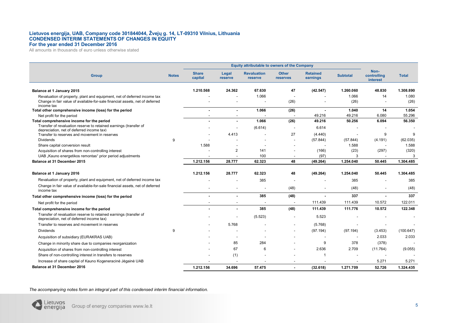#### **Lietuvos energija, UAB, Company code 301844044, Žvejų g. 14, LT-09310 Vilnius, Lithuania CONDENSED INTERIM STATEMENTS OF CHANGES IN EQUITY For the year ended 31 December 2016**

All amounts in thousands of euro unless otherwise stated

|                                                                                                                |              | <b>Equity attributable to owners of the Company</b> |                  |                               |                                 |                             |                 |                                 |              |
|----------------------------------------------------------------------------------------------------------------|--------------|-----------------------------------------------------|------------------|-------------------------------|---------------------------------|-----------------------------|-----------------|---------------------------------|--------------|
| <b>Group</b>                                                                                                   | <b>Notes</b> | <b>Share</b><br>capital                             | Legal<br>reserve | <b>Revaluation</b><br>reserve | <b>Other</b><br><b>reserves</b> | <b>Retained</b><br>earnings | <b>Subtotal</b> | Non-<br>controlling<br>interest | <b>Total</b> |
| Balance at 1 January 2015                                                                                      |              | 1.210.568                                           | 24.362           | 67.630                        | 47                              | (42.547)                    | 1.260.060       | 48.830                          | 1.308.890    |
| Revaluation of property, plant and equipment, net of deferred income tax                                       |              |                                                     |                  | 1.066                         |                                 |                             | 1.066           | 14                              | 1.080        |
| Change in fair value of available-for-sale financial assets, net of deferred<br>income tax                     |              |                                                     |                  |                               | (26)                            |                             | (26)            |                                 | (26)         |
| Total other comprehensive income (loss) for the period                                                         |              | $\overline{\phantom{a}}$                            | $\blacksquare$   | 1.066                         | (26)                            |                             | 1.040           | 14                              | 1.054        |
| Net profit for the period                                                                                      |              |                                                     |                  |                               |                                 | 49.216                      | 49.216          | 6.080                           | 55.296       |
| Total comprehensive income for the period                                                                      |              | $\blacksquare$                                      |                  | 1.066                         | (26)                            | 49.216                      | 50.256          | 6.094                           | 56.350       |
| Transfer of revaluation reserve to retained earnings (transfer of<br>depreciation, net of deferred income tax) |              |                                                     |                  | (6.614)                       |                                 | 6.614                       |                 |                                 |              |
| Transfer to reserves and movement in reserves                                                                  |              |                                                     | 4.413            |                               | 27                              | (4.440)                     |                 | 9                               | 9            |
| <b>Dividends</b>                                                                                               | 9            |                                                     |                  |                               |                                 | (57.844)                    | (57.844)        | (4.191)                         | (62.035)     |
| Share capital conversion result                                                                                |              | 1.588                                               |                  |                               |                                 |                             | 1.588           |                                 | 1.588        |
| Acquisition of shares from non-controlling interest                                                            |              |                                                     | $\overline{2}$   | 141                           |                                 | (166)                       | (23)            | (297)                           | (320)        |
| UAB "Kauno energetikos remontas" prior period adjustments                                                      |              |                                                     |                  | 100                           |                                 | (97)                        | 3               |                                 | 3            |
| Balance at 31 December 2015                                                                                    |              | 1.212.156                                           | 28.777           | 62.323                        | 48                              | (49.264)                    | 1.254.040       | 50.445                          | 1.304.485    |
| Balance at 1 January 2016                                                                                      |              | 1.212.156                                           | 28.777           | 62.323                        | 48                              | (49.264)                    | 1.254.040       | 50.445                          | 1.304.485    |
| Revaluation of property, plant and equipment, net of deferred income tax                                       |              |                                                     |                  | 385                           |                                 |                             | 385             |                                 | 385          |
| Change in fair value of available-for-sale financial assets, net of deferred<br>income tax                     |              |                                                     |                  |                               | (48)                            |                             | (48)            | $\overline{\phantom{a}}$        | (48)         |
| Total other comprehensive income (loss) for the period                                                         |              |                                                     |                  | 385                           | (48)                            |                             | 337             |                                 | 337          |
| Net profit for the period                                                                                      |              |                                                     |                  |                               |                                 | 111.439                     | 111.439         | 10.572                          | 122.011      |
| Total comprehensive income for the period                                                                      |              | $\blacksquare$                                      | $\blacksquare$   | 385                           | (48)                            | 111.439                     | 111.776         | 10.572                          | 122.348      |
| Transfer of revaluation reserve to retained earnings (transfer of<br>depreciation, net of deferred income tax) |              |                                                     |                  | (5.523)                       |                                 | 5.523                       |                 |                                 |              |
| Transfer to reserves and movement in reserves                                                                  |              |                                                     | 5.768            |                               |                                 | (5.768)                     |                 |                                 |              |
| <b>Dividends</b>                                                                                               | 9            |                                                     |                  |                               |                                 | (97.194)                    | (97.194)        | (3.453)                         | (100.647)    |
| Acquisition of subsidiary (EURAKRAS UAB)                                                                       |              |                                                     |                  |                               |                                 |                             |                 | 2.033                           | 2.033        |
| Change in minority share due to companies reorganization                                                       |              |                                                     | 85               | 284                           |                                 | 9                           | 378             | (378)                           |              |
| Acquisition of shares from non-controlling interest                                                            |              |                                                     | 67               | 6                             |                                 | 2.636                       | 2.709           | (11.764)                        | (9.055)      |
| Share of non-controlling interest in transfers to reserves                                                     |              |                                                     | (1)              |                               |                                 | -1                          |                 |                                 |              |
| Increase of share capital of Kauno Kogeneracinė Jėgainė UAB                                                    |              |                                                     |                  |                               |                                 |                             |                 | 5.271                           | 5.271        |
| Balance at 31 December 2016                                                                                    |              | 1.212.156                                           | 34.696           | 57.475                        | $\blacksquare$                  | (32.618)                    | 1.271.709       | 52.726                          | 1.324.435    |

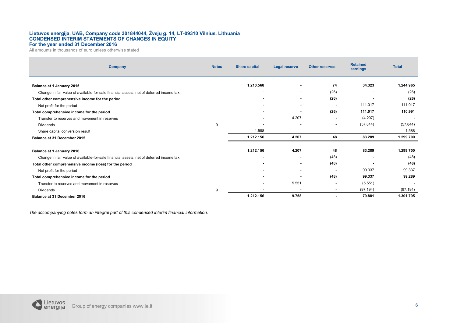#### **Lietuvos energija, UAB, Company code 301844044, Žvejų g. 14, LT-09310 Vilnius, Lithuania CONDENSED INTERIM STATEMENTS OF CHANGES IN EQUITY For the year ended 31 December 2016**

All amounts in thousands of euro unless otherwise stated

| Company                                                                                 | <b>Notes</b> | <b>Share capital</b> | <b>Legal reserve</b>     | <b>Other reserves</b>    | <b>Retained</b><br>earnings | <b>Total</b>             |
|-----------------------------------------------------------------------------------------|--------------|----------------------|--------------------------|--------------------------|-----------------------------|--------------------------|
| Balance at 1 January 2015                                                               |              | 1.210.568            |                          | 74                       | 34.323                      | 1.244.965                |
| Change in fair value of available-for-sale financial assets, net of deferred income tax |              |                      | ٠                        | (26)                     | $\sim$                      | (26)                     |
|                                                                                         |              |                      |                          |                          |                             | (26)                     |
| Total other comprehensive income for the period                                         |              |                      | ٠                        | (26)                     |                             |                          |
| Net profit for the period                                                               |              |                      | $\,$                     |                          | 111.017                     | 111.017                  |
| Total comprehensive income for the period                                               |              |                      |                          | (26)                     | 111.017                     | 110.991                  |
| Transfer to reserves and movement in reserves                                           |              |                      | 4.207                    |                          | (4.207)                     | $\overline{\phantom{a}}$ |
| <b>Dividends</b>                                                                        | 9            |                      | $\overline{\phantom{a}}$ | $\overline{\phantom{a}}$ | (57.844)                    | (57.844)                 |
| Share capital conversion result                                                         |              | 1.588                | $\overline{\phantom{a}}$ |                          |                             | 1.588                    |
| Balance at 31 December 2015                                                             |              | 1.212.156            | 4.207                    | 48                       | 83.289                      | 1.299.700                |
|                                                                                         |              | 1.212.156            | 4.207                    | 48                       | 83.289                      | 1.299.700                |
| Balance at 1 January 2016                                                               |              |                      |                          |                          |                             |                          |
| Change in fair value of available-for-sale financial assets, net of deferred income tax |              |                      | $\overline{\phantom{a}}$ | (48)                     | $\overline{\phantom{a}}$    | (48)                     |
| Total other comprehensive income (loss) for the period                                  |              |                      |                          | (48)                     |                             | (48)                     |
| Net profit for the period                                                               |              |                      | $\overline{\phantom{a}}$ |                          | 99.337                      | 99.337                   |
| Total comprehensive income for the period                                               |              |                      |                          | (48)                     | 99.337                      | 99.289                   |
| Transfer to reserves and movement in reserves                                           |              |                      | 5.551                    |                          | (5.551)                     | $\overline{\phantom{a}}$ |
| <b>Dividends</b>                                                                        | 9            |                      | $\overline{\phantom{a}}$ | $\sim$                   | (97.194)                    | (97.194)                 |
| Balance at 31 December 2016                                                             |              | 1.212.156            | 9.758                    |                          | 79.881                      | 1.301.795                |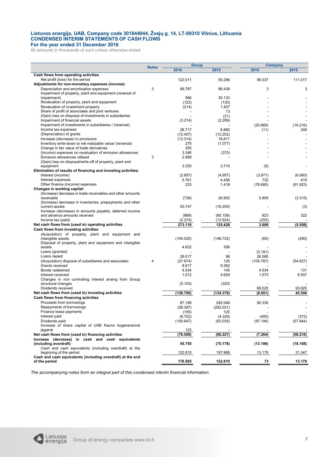#### **Lietuvos energija, UAB, Company code 301844044, Žvejų g. 14, LT-09310 Vilnius, Lithuania CONDENSED INTERIM STATEMENTS OF CASH FLOWS For the year ended 31 December 2016**

All amounts in thousands of euro unless otherwise stated

|                                                               | <b>Notes</b> | <b>Group</b> |           |           | Company  |
|---------------------------------------------------------------|--------------|--------------|-----------|-----------|----------|
|                                                               |              | 2016         | 2015      | 2016      | 2015     |
| Cash flows from operating activities                          |              |              |           |           |          |
| Net profit (loss) for the period                              |              | 122.011      | 55.296    | 99.337    | 111.017  |
| Adjustments for non-monetary expenses (income):               |              |              |           |           |          |
| Depreciation and amortisation expenses                        | 3            | 89.787       | 86.439    | 3         | 3        |
| Impairment of property, plant and equipment (reversal of      |              |              |           |           |          |
| impairment)                                                   |              | 566          | 30.133    |           |          |
| Revaluation of property, plant and equipment                  |              | (122)        | (130)     |           |          |
| Revaluation of investment property                            |              | (214)        | 1.407     |           |          |
| Share of profit of associates and joint ventures              |              |              | 13        |           |          |
| (Gain) loss on disposal of investments in subsidiaries        |              |              | (21)      |           |          |
| Impairment of financial assets                                |              | (3.214)      | (2.289)   |           |          |
| Impairment of investments in subsidiaries / (reversal)        |              |              |           | (20.869)  | (16.216) |
| Income tax expenses                                           |              | 28.717       | 8.880     | (11)      | 248      |
| (Depreciation) of grants                                      |              | (12.407)     | (12.202)  |           |          |
| Increase (decrease) in provisions                             |              | (12.314)     | 16.811    |           |          |
| Inventory write-down to net realizable value/ (reversal)      |              | 275          | (1.077)   |           |          |
| Change in fair value of trade derivatives                     |              | 355          |           |           |          |
| (Income) expenses on revaluation of emission allowances       |              | 3.346        | (370)     |           |          |
| Emission allowances utilised                                  | 3            | 2.999        |           |           |          |
| (Gain) loss on disposal/write-off of property, plant and      |              |              |           |           |          |
| equipment                                                     |              | 3.330        | 3.710     | (9)       |          |
| Elimination of results of financing and investing activities: |              |              |           |           |          |
| Interest (income)                                             |              | (2.857)      | (4.957)   | (3.871)   | (6.060)  |
| Interest expenses                                             |              | 5.761        | 4.456     | 732       | 419      |
| Other finance (income) expenses                               |              | 233          | 1.418     | (78.680)  | (91.923) |
| Changes in working capital:                                   |              |              |           |           |          |
| (Increase) decrease in trade receivables and other amounts    |              |              |           |           |          |
| receivable                                                    |              | (738)        | 26.902    | 5.809     | (3.315)  |
| (Increase) decrease in inventories, prepayments and other     |              |              |           |           |          |
| current assets                                                |              | 50.747       | (16.209)  |           | (3)      |
| Increase (decrease) in amounts payable, deferred income       |              |              |           |           |          |
| and advance amounts received                                  |              | (868)        | (60.158)  | 823       | 322      |
| Income tax (paid)                                             |              | (2.274)      | (12.624)  | (255)     |          |
| Net cash flows from (used in) operating activities            |              | 273.119      | 125.428   | 3.009     | (5.508)  |
| Cash flows from investing activities                          |              |              |           |           |          |
| (Acquisition) of property, plant and equipment and            |              |              |           |           |          |
| intangible assets                                             |              | (154.020)    | (148.722) | (65)      | (280)    |
| Disposal of property, plant and equipment and intangible      |              |              |           |           |          |
| assets                                                        |              | 4.622        | 306       |           |          |
| Loans (granted)                                               |              |              |           | (5.191)   |          |
| Loans repaid                                                  |              | 29.017       | 96        | 26.560    |          |
| (Acquisition) disposal of subsidiaries and associates         | 4            | (27.674)     | 125       | (105.787) | (54.627) |
| Grants received                                               |              | 8.817        | 9.362     |           |          |
| Bonds redeemed                                                |              | 4.534        | 145       | 4.534     | 131      |
| Interest received                                             |              | 1.012        | 4.629     | 1.573     | 6.507    |
| Changes in non controlling interest arising from Group        |              |              |           |           |          |
| structural changes                                            |              | (5.103)      | (320)     |           |          |
| Dividends received                                            |              |              |           | 69.525    | 93.825   |
| Net cash flows from (used in) investing activities            |              | (138.795)    | (134.379) | (8.851)   | 45.556   |
| Cash flows from financing activities                          |              |              |           |           |          |
| Proceeds from borrowings                                      |              | 87.199       | 282.048   | 90.330    |          |
| Repayments of borrowings                                      |              | (58.387)     | (282.031) |           |          |
| Finance lease payments                                        |              | (155)        | 120       |           |          |
| Interest paid                                                 |              | (6.702)      | (4.329)   | (400)     | (372)    |
| Dividends paid                                                |              | (100.647)    | (62.035)  | (97.194)  | (57.844) |
| Increase of share capital of UAB Kauno kogeneracine           |              |              |           |           |          |
| jėgainė                                                       |              | 123          |           |           |          |
| Net cash flows from (used in) financing activities            |              | (78.569)     | (66.227)  | (7.264)   | (58.216) |
| Increase (decrease) in cash and cash equivalents              |              |              |           |           |          |
| (including overdraft)                                         |              | 55.755       | (75.178)  | (13.106)  | (18.168) |
| Cash and cash equivalents (including overdraft) at the        |              |              |           |           |          |
| beginning of the period                                       |              | 122.810      | 197.988   | 13.179    | 31.347   |
| Cash and cash equivalents (including overdraft) at the end    |              |              |           |           |          |
| of the period                                                 |              | 178.565      | 122.810   | 73        | 13.179   |

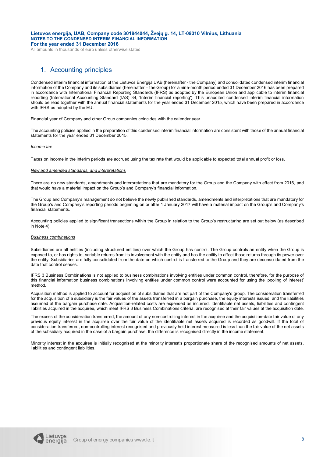All amounts in thousands of euro unless otherwise stated

## 1. Accounting principles

Condensed interim financial information of the Lietuvos Energija UAB (hereinafter - the Company) and consolidated condensed interim financial information of the Company and its subsidiaries (hereinafter – the Group) for a nine-month period ended 31 December 2016 has been prepared in accordance with International Financial Reporting Standards (IFRS) as adopted by the European Union and applicable to interim financial reporting (International Accounting Standard (IAS) 34, 'Interim financial reporting'). This unaudited condensed interim financial information should be read together with the annual financial statements for the year ended 31 December 2015, which have been prepared in accordance with IFRS as adopted by the EU.

Financial year of Company and other Group companies coincides with the calendar year.

The accounting policies applied in the preparation of this condensed interim financial information are consistent with those of the annual financial statements for the year ended 31 December 2015.

#### *Income tax*

Taxes on income in the interim periods are accrued using the tax rate that would be applicable to expected total annual profit or loss.

#### *New and amended standards, and interpretations*

There are no new standards, amendments and interpretations that are mandatory for the Group and the Company with effect from 2016, and that would have a material impact on the Group's and Company's financial information.

The Group and Company's management do not believe the newly published standards, amendments and interpretations that are mandatory for the Group's and Company's reporting periods beginning on or after 1 January 2017 will have a material impact on the Group's and Company's financial statements.

Accounting policies applied to significant transactions within the Group in relation to the Group's restructuring are set out below (as described in Note 4).

#### *Business combinations*

Subsidiaries are all entities (including structured entities) over which the Group has control. The Group controls an entity when the Group is exposed to, or has rights to, variable returns from its involvement with the entity and has the ability to affect those returns through its power over the entity. Subsidiaries are fully consolidated from the date on which control is transferred to the Group and they are deconsolidated from the date that control ceases.

IFRS 3 Business Combinations is not applied to business combinations involving entities under common control, therefore, for the purpose of this financial information business combinations involving entities under common control were accounted for using the 'pooling of interest' method.

Acquisition method is applied to account for acquisition of subsidiaries that are not part of the Company's group. The consideration transferred for the acquisition of a subsidiary is the fair values of the assets transferred in a bargain purchase, the equity interests issued, and the liabilities assumed at the bargain purchase date. Acquisition-related costs are expensed as incurred. Identifiable net assets, liabilities and contingent liabilities acquired in the acquiree, which meet IFRS 3 Business Combinations criteria, are recognised at their fair values at the acquisition date.

The excess of the consideration transferred, the amount of any non-controlling interest in the acquiree and the acquisition-date fair value of any previous equity interest in the acquiree over the fair value of the identifiable net assets acquired is recorded as goodwill. If the total of consideration transferred, non-controlling interest recognised and previously held interest measured is less than the fair value of the net assets of the subsidiary acquired in the case of a bargain purchase, the difference is recognised directly in the income statement.

Minority interest in the acquiree is initially recognised at the minority interest's proportionate share of the recognised amounts of net assets, liabilities and contingent liabilities.

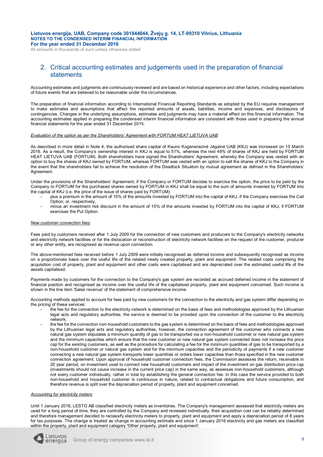All amounts in thousands of euro unless otherwise stated

## 2. Critical accounting estimates and judgements used in the preparation of financial statements

Accounting estimates and judgments are continuously reviewed and are based on historical experience and other factors, including expectations of future events that are believed to be reasonable under the circumstances.

The preparation of financial information according to International Financial Reporting Standards as adopted by the EU requires management to make estimates and assumptions that affect the reported amounts of assets, liabilities, income and expenses, and disclosures of contingencies. Changes in the underlying assumptions, estimates and judgments may have a material effect on this financial information. The accounting estimates applied in preparing the condensed interim financial information are consistent with those used in preparing the annual financial statements for the year ended 31 December 2015.

#### *Evaluation of the option as per the Shareholders' Agreement with FORTUM HEAT LIETUVA UAB*

As described in more detail in Note 4, the authorised share capital of Kauno Kogeneracinė Jėgainė UAB (KKJ) was increased on 15 March 2016. As a result, the Company's ownership interest in KKJ is equal to 51%, whereas the rest 49% of shares of KKJ are held by FORTUM HEAT LIETUVA UAB (FORTUM). Both shareholders have signed the Shareholders' Agreement, whereby the Company was vested with an option to buy the shares of KKJ owned by FORTUM, whereas FORTUM was vested with an option to sell the shares of KKJ to the Company in the event that the shareholders fail to achieve the resolution of the Deadlock Situation by mutual agreement as defined in the Shareholders' Agreement.

Under the provisions of the Shareholders' Agreement, if the Company or FORTUM decides to exercise the option, the price to be paid by the Company to FORTUM for the purchased shares owned by FORTUM in KKJ shall be equal to the sum of amounts invested by FORTUM into the capital of KKJ (i.e. the price of the issue of shares paid by FORTUM):

- plus a premium in the amount of 15% of the amounts invested by FORTUM into the capital of KKJ, if the Company exercises the Call Option: or, respectively.
- minus an investment risk discount in the amount of 15% of the amounts invested by FORTUM into the capital of KKJ, if FORTUM exercises the Put Option.

#### *New customer connection fees*

Fees paid by customers received after 1 July 2009 for the connection of new customers and producers to the Company's electricity networks and electricity network facilities or for the dislocation or reconstruction of electricity network facilities on the request of the customer, producer or any other entity, are recognised as revenue upon connection.

The above-mentioned fees received before 1 July 2009 were initially recognised as deferred income and subsequently recognised as income on a proportionate basis over the useful life of the related newly created property, plant and equipment. The related costs comprising the acquisition cost of property, plant and equipment and other costs were capitalised and are depreciated over the estimated useful life of the assets capitalised.

Payments made by customers for the connection to the Company's gas system are recorded as accrued deferred income in the statement of financial position and recognised as income over the useful life of the capitalised property, plant and equipment concerned. Such income is shown in the line item 'Sales revenue' of the statement of comprehensive income.

Accounting methods applied to account for fees paid by new customers for the connection to the electricity and gas system differ depending on the pricing of these services:

- the fee for the connection to the electricity network is determined on the basis of fees and methodologies approved by the Lithuanian legal acts and regulatory authorities; the service is deemed to be provided upon the connection of the customer to the electricity network;
- the fee for the connection non-household customers to the gas system is determined on the basis of fees and methodologies approved by the Lithuanian legal acts and regulatory authorities, however, the connection agreement of the customer who connects a new natural gas system stipulates a minimum quantity of gas to be transported via a non-household customer or new natural gas system and the minimum capacities which ensure that the new customer or new natural gas system connected does not increase the price cap for the existing customers, as well as the procedure for calculating a fee for the minimum quantities of gas to be transported by a non-household customer or natural gas system and for the minimum capacities and the periodicity of payments if a new customer connecting a new natural gas system transports lower quantities or orders lower capacities than those specified in the new customer connection agreement. Upon approval of household customer connection fees, the Commission assesses the return, receivable in 20 year period, on investment used to connect new household customers and impact of the investment on gas distribution price cap (investments should not cause increase in the current price cap) in the same way, as assesses non-household customers, although not every customer individually, rather in total by establishing the general connection fee. In this case the service provided to both non-household and household customer is continuous in nature, related to contractual obligations and future consumption, and therefore revenue is split over the depreciation period of property, plant and equipment concerned.

#### *Accounting for electricity meters*

Until 1 January 2016, LESTO AB classified electricity meters as inventories. The Company's management assessed that electricity meters are used for a long period of time, they are controlled by the Company and reviewed individually, their acquisition cost can be reliably determined and therefore management decided to reclassify electricity meters to property, plant and equipment and apply a depreciation period of 8 years for tax purposes. The change is treated as change in accounting estimate and since 1 January 2016 electricity and gas meters are classified within the property, plant and equipment category 'Other property, plant and equipment'.

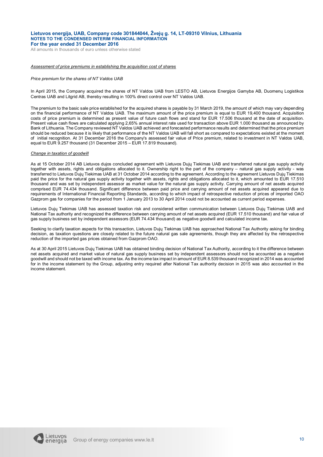All amounts in thousands of euro unless otherwise stated

#### *Assessment of price premiums in establishing the acquisition cost of shares*

#### *Price premium for the shares of NT Valdos UAB*

In April 2015, the Company acquired the shares of NT Valdos UAB from LESTO AB, Lietuvos Energijos Gamyba AB, Duomenų Logistikos Centras UAB and Litgrid AB, thereby resulting in 100% direct control over NT Valdos UAB.

The premium to the basic sale price established for the acquired shares is payable by 31 March 2019, the amount of which may vary depending on the financial performance of NT Valdos UAB. The maximum amount of the price premium is equal to EUR 19,400 thousand. Acquisition costs of price premium is determined as present value of future cash flows and stand for EUR 17.506 thousand at the date of acquisition. Present value cash flows are calculated applying 2,65% annual interest rate used for transaction above EUR 1.000 thousand as announced by Bank of Lithuania. The Company reviewed NT Valdos UAB achieved and forecasted performance results and determined that the price premium should be reduced because it is likely that performance of the NT Valdos UAB will fall short as compared to expectations existed at the moment of initial recognition. At 31 December 2016 the Company's assessed fair value of Price premium, related to investment in NT Valdos UAB, equal to EUR 9.257 thousand (31 December 2015 – EUR 17.819 thousand).

#### *Change in taxation of goodwill*

As at 15 October 2014 AB Lietuvos dujos concluded agreement with Lietuvos Dujų Tiekimas UAB and transferred natural gas supply activity together with assets, rights and obligations allocated to it. Ownership right to the part of the company – natural gas supply activity - was transferred to Lietuvos Dujų Tiekimas UAB at 31 October 2014 according to the agreement. According to the agreement Lietuvos Dujų Tiekimas paid the price for the natural gas supply activity together with assets, rights and obligations allocated to it, which amounted to EUR 17.510 thousand and was set by independent assessor as market value for the natural gas supply activity. Carrying amount of net assets acquired comprised EUR 74.434 thousand. Significant difference between paid price and carrying amount of net assets acquired appeared due to requirements of International Financial Reporting Standards, according to which impact of retrospective reduction of prices of imported OAO Gazprom gas for companies for the period from 1 January 2013 to 30 April 2014 could not be accounted as current period expenses.

Lietuvos Dujų Tiekimas UAB has assessed taxation risk and considered written communication between Lietuvos Dujų Tiekimas UAB and National Tax authority and recognized the difference between carrying amount of net assets acquired (EUR 17.510 thousand) and fair value of gas supply business set by independent assessors (EUR 74.434 thousand) as negative goodwill and calculated income tax.

Seeking to clarify taxation aspects for this transaction, Lietuvos Dujų Tiekimas UAB has approached National Tax Authority asking for binding decision, as taxation questions are closely related to the future natural gas sale agreements, though they are affected by the retrospective reduction of the imported gas prices obtained from Gazprom OAO.

As at 30 April 2015 Lietuvos Dujų Tiekimas UAB has obtained binding decision of National Tax Authority, according to it the difference between net assets acquired and market value of natural gas supply business set by independent assessors should not be accounted as a negative goodwill and should not be taxed with income tax. As the income tax impact in amount of EUR 8.539 thousand recognized in 2014 was accounted for in the income statement by the Group, adjusting entry required after National Tax authority decision in 2015 was also accounted in the income statement.

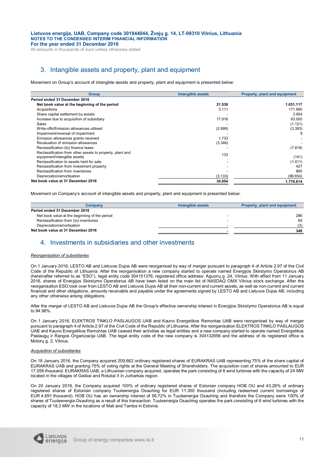All amounts in thousands of euro unless otherwise stated

## 3. Intangible assets and property, plant and equipment

Movement on Group's account of intangible assets and property, plant and equipment is presented below:

| <b>Group</b>                                                                             | Intangible assets | Property, plant and equipment |
|------------------------------------------------------------------------------------------|-------------------|-------------------------------|
| Period ended 31 December 2016                                                            |                   |                               |
| Net book value at the beginning of the period                                            | 21.539            | 1.631.117                     |
| Acquisitions                                                                             | 3.111             | 171.960                       |
| Share capital settlement by assets                                                       |                   | 3.954                         |
| Increase due to acquisition of subsidiary                                                | 17.916            | 63.000                        |
| Sales                                                                                    |                   | (1.121)                       |
| Write-offs/Emission allowances utilised                                                  | (2.999)           | (3.393)                       |
| Impairment/reversal of impairment                                                        |                   |                               |
| Emission allowances grants received                                                      | 1.733             |                               |
| Revaluation of emission allowances                                                       | (3.346)           |                               |
| Reclassification (to) finance lease                                                      |                   | (7.818)                       |
| Reclassification from other assets to property, plant and<br>equipment/intangible assets | 133               | (141)                         |
| Reclassification to assets held for sale                                                 |                   | (1.411)                       |
| Reclassification from investment property                                                |                   | 427                           |
| Reclassification from inventories                                                        |                   | 885                           |
| Depreciation/amortisation                                                                | (3.133)           | (86.654)                      |
| Net book value at 31 December 2016                                                       | 34.954            | 1.770.814                     |

Movement on Company's account of intangible assets and property, plant and equipment is presented below:

| Company                                       | Intangible assets        | Property, plant and equipment |
|-----------------------------------------------|--------------------------|-------------------------------|
| Period ended 31 December 2016                 |                          |                               |
| Net book value at the beginning of the period | $\overline{\phantom{a}}$ | 286                           |
| Reclassification from (to) inventories        |                          | 65                            |
| Depreciation/amortisation                     |                          | (3)                           |
| Net book value at 31 December 2016            |                          | 348                           |

## 4. Investments in subsidiaries and other investments

#### *Reorganisation of subsidiaries*

On 1 January 2016, LESTO AB and Lietuvos Dujos AB were reorganised by way of merger pursuant to paragraph 4 of Article 2.97 of the Civil Code of the Republic of Lithuania. After the reorganisation a new company started to operate named Energijos Skirstymo Operatorius AB (hereinafter referred to as "ESO"), legal entity code 304151376, registered office address: Aguonų g. 24, Vilnius. With effect from 11 January 2016, shares of Energijos Skirstymo Operatorius AB have been listed on the main list of NASDAQ OMX Vilnius stock exchange. After the reorganisation ESO took over from LESTO AB and Lietuvos Dujos AB all their non-current and current assets, as well as non-current and current financial and other obligations, amounts receivable and payable under the agreements signed by LESTO AB and Lietuvos Dujos AB, including any other otherwise arising obligations.

After the merger of LESTO AB and Lietuvos Dujos AB the Group's effective ownership interest in Energijos Skirstymo Operatorius AB is equal to 94.98%.

On 1 January 2016, ELEKTROS TINKLO PASLAUGOS UAB and Kauno Energetikos Remontas UAB were reorganised by way of merger pursuant to paragraph 4 of Article 2.97 of the Civil Code of the Republic of Lithuania. After the reorganisation ELEKTROS TINKLO PASLAUGOS UAB and Kauno Energetikos Remontas UAB ceased their activities as legal entities and a new company started to operate named Energetikos Paslaugų ir Rangos Organizacija UAB. The legal entity code of the new company is 304132956 and the address of its registered office is Motorų g. 2, Vilnius.

#### *Acquisition of subsidiaries*

On 18 January 2016, the Company acquired 209,662 ordinary registered shares of EURAKRAS UAB representing 75% of the share capital of EURAKRAS UAB and granting 75% of voting rights at the General Meeting of Shareholders. The acquisition cost of shares amounted to EUR 17.058 thousand. EURAKRAS UAB, a Lithuanian company acquired, operates the park consisting of 8 wind turbines with the capacity of 24 MW located in the villages of Geišiai and Rotuliai II in Jurbarkas region.

On 20 January 2016, the Company acquired 100% of ordinary registered shares of Estonian company HOB OU and 43,28% of ordinary registered shares of Estonian company Tuuleenergia Osauhing for EUR 11.350 thousand (including redeemed current borrowings of EUR 4.691 thousand). HOB OU has an ownership interest of 56,72% in Tuuleenergia Osauhing and therefore the Company owns 100% of shares of Tuuleenergia Osauhing as a result of this transaction. Tuuleenergia Osauhing operates the park consisting of 6 wind turbines with the capacity of 18,3 MW in the locations of Mali and Tamba in Estonia.

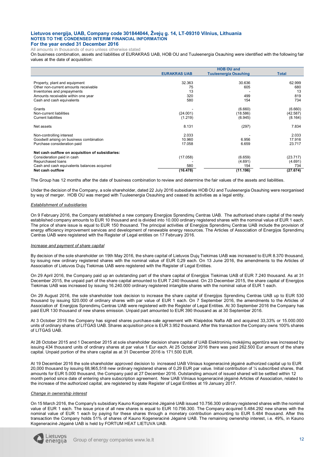All amounts in thousands of euro unless otherwise stated

On business combination, assets and liabilities of EURAKRAS UAB, HOB OU and Tuuleenergia Osauhing were identified with the following fair values at the date of acquisition:

|                                                  | <b>HOB OU and</b>   |                              |              |  |  |  |
|--------------------------------------------------|---------------------|------------------------------|--------------|--|--|--|
|                                                  | <b>EURAKRAS UAB</b> | <b>Tuuleenergia Osauhing</b> | <b>Total</b> |  |  |  |
| Property, plant and equipment                    | 32.363              | 30.636                       | 62.999       |  |  |  |
| Other non-current amounts receivable             | 75                  | 605                          | 680          |  |  |  |
| Inventories and prepayments                      | 13                  |                              | 13           |  |  |  |
| Amounts receivable within one year               | 320                 | 499                          | 819          |  |  |  |
| Cash and cash equivalents                        | 580                 | 154                          | 734          |  |  |  |
|                                                  |                     |                              |              |  |  |  |
| Grants                                           |                     | (6.660)                      | (6.660)      |  |  |  |
| Non-current liabilities                          | (24.001)            | (18.586)                     | (42.587)     |  |  |  |
| <b>Current liabilities</b>                       | (1.219)             | (6.945)                      | (8.164)      |  |  |  |
|                                                  |                     |                              |              |  |  |  |
| Net assets                                       | 8.131               | (297)                        | 7.834        |  |  |  |
| Non-controlling interest                         | 2.033               |                              | 2.033        |  |  |  |
| Goodwill arising on business combination         | 10.960              | 6.956                        | 17.916       |  |  |  |
| Purchase consideration paid                      | 17.058              | 6.659                        | 23.717       |  |  |  |
|                                                  |                     |                              |              |  |  |  |
| Net cash outflow on acquisition of subsidiaries: |                     |                              |              |  |  |  |
| Consideration paid in cash                       | (17.058)            | (6.659)                      | (23.717)     |  |  |  |
| Repurchased Ioans                                |                     | (4.691)                      | (4.691)      |  |  |  |
| Cash and cash equivalents balances acquired      | 580                 | 154                          | 734          |  |  |  |
| Net cash outflow                                 | (16.478)            | (11.196)                     | (27.674)     |  |  |  |

The Group has 12 months after the date of business combination to review and determine the fair values of the assets and liabilities.

Under the decision of the Company, a sole shareholder, dated 22 July 2016 subsidiaries HOB OU and Tuuleenergia Osauhing were reorganised by way of merger. HOB OU was merged with Tuuleenergia Osauhing and ceased its activities as a legal entity.

#### *Establishment of subsidiaries*

On 9 February 2016, the Company established a new company Energijos Sprendimų Centras UAB. The authorised share capital of the newly established company amounts to EUR 10 thousand and is divided into 10.000 ordinary registered shares with the nominal value of EUR 1 each. The price of share issue is equal to EUR 150 thousand. The principal activities of Energijos Sprendimų Centras UAB include the provision of energy efficiency improvement services and development of renewable energy resources. The Articles of Association of Energijos Sprendimų Centras UAB were registered with the Register of Legal entities on 17 February 2016.

#### *Increase and payment of share capital*

By decision of the sole shareholder on 19th May 2016, the share capital of Lietuvos Dujų Tiekimas UAB was increased to EUR 8.370 thousand, by issuing new ordinary registered shares with the nominal value of EUR 0.29 each. On 13 June 2016, the amendments to the Articles of Association of Lietuvos Dujų Tiekimas UAB were registered with the Register of Legal Entities.

On 29 April 2016, the Company paid up an outstanding part of the share capital of Energijos Tiekimas UAB of EUR 7.240 thousand. As at 31 December 2015, the unpaid part of the share capital amounted to EUR 7.240 thousand. On 23 December 2015, the share capital of Energijos Tiekimas UAB was increased by issuing 16.240.000 ordinary registered intangible shares with the nominal value of EUR 1 each.

On 29 August 2016, the sole shareholder took decision to increase the share capital of Energijos Sprendimų Centras UAB up to EUR 530 thousand by issuing 520.000 of ordinary shares with par value of EUR 1 each. On 7 September 2016, the amendments to the Articles of Association of Energijos Sprendimų Centras UAB were registered with the Register of Legal Entities. At 30 September 2016 the Company has paid EUR 130 thousand of new shares emission. Unpaid part amounted to EUR 390 thousand as at 30 September 2016.

At 3 October 2016 the Company has signed shares purchase-sale agreement with Klaipėdos Nafta AB and acquired 33,33% or 15.000.000 units of ordinary shares of LITGAS UAB. Shares acquisition price is EUR 3.952 thousand. After this transaction the Company owns 100% shares of LITGAS UAB.

At 28 October 2015 and 1 December 2015 at sole shareholder decision share capital of UAB Elektroninių mokėjimų agentūra was increased by issuing 434 thousand units of ordinary shares at par value 1 Eur each. At 25 October 2016 there was paid 262.500 Eur amount of the share capital. Unpaid portion of the share capital as at 31 December 2016 is 171.500 EUR.

At 19 December 2016 the sole shareholder approved decision to increased UAB Vilniaus kogeneracinė jėgainė authorized capital up to EUR 20,000 thousand by issuing 68,965,518 new ordinary registered shares of 0,29 EUR par value. Initial contribution of ¼ subscribed shares, that amounts for EUR 5.000 thousand, the Company paid at 27 December 2016. Outstanding amount of issued shared will be settled within 12 month period since date of entering share subscription agreement. New UAB Vilniaus kogeneracinė jėgainė Articles of Association, related to the increase of the authorized capital, are registered by state Register of Legal Entities at 19 January 2017.

#### *Change in ownership interest*

On 15 March 2016, the Company's subsidiary Kauno Kogeneracinė Jėgainė UAB issued 10.756.300 ordinary registered shares with the nominal value of EUR 1 each. The issue price of all new shares is equal to EUR 10.756.300. The Company acquired 5.484.292 new shares with the nominal value of EUR 1 each by paying for these shares through a monetary contribution amounting to EUR 5.484 thousand. After this transaction the Company holds 51% of shares of Kauno Kogeneracinė Jėgainė UAB. The remaining ownership interest, i.e. 49%, in Kauno Kogeneracinė Jėgainė UAB is held by FORTUM HEAT LIETUVA UAB.

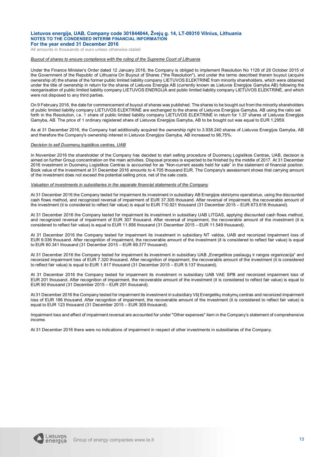All amounts in thousands of euro unless otherwise stated

#### *Buyout of shares to ensure compliance with the ruling of the Supreme Court of Lithuania*

Under the Finance Minister's Order dated 12 January 2016, the Company is obliged to implement Resolution No 1126 of 26 October 2015 of the Government of the Republic of Lithuania On Buyout of Shares ("the Resolution"), and under the terms described therein buyout (acquire ownership of) the shares of the former public limited liability company LIETUVOS ELEKTRINĖ from minority shareholders, which were obtained under the title of ownership in return for the shares of Lietuvos Energija AB (currently known as Lietuvos Energijos Gamyba AB) following the reorganisation of public limited liability company LIETUVOS ENERGIJA and public limited liability company LIETUVOS ELEKTRINĖ, and which were not disposed to any third parties.

On 9 February 2016, the date for commencement of buyout of shares was published. The shares to be bought out from the minority shareholders of public limited liability company LIETUVOS ELEKTRINĖ are exchanged to the shares of Lietuvos Energijos Gamyba, AB using the ratio set forth in the Resolution, i.e. 1 share of public limited liability company LIETUVOS ELEKTRINĖ in return for 1.37 shares of Lietuvos Energijos Gamyba, AB. The price of 1 ordinary registered share of Lietuvos Energijos Gamyba, AB to be bought out was equal to EUR 1,2959.

As at 31 December 2016, the Company had additionally acquired the ownership right to 3.938.240 shares of Lietuvos Energijos Gamyba, AB and therefore the Company's ownership interest in Lietuvos Energijos Gamyba, AB increased to 96,75%.

#### *Decision to sell Duomenų logistikos centras, UAB*

In November 2016 the shareholder of the Company has decided to start selling procedure of Duomenų Logistikos Centras, UAB, decision is aimed on further Group concentration on the main activities. Disposal process is expected to be finished by the middle of 2017. At 31 December 2016 investment in Duomenų Logistikos Centras is accounted for as "Non-current assets held for sale" in the statement of financial position. Book value of the investment at 31 December 2016 amounts to 4.705 thousand EUR. The Company's assessment shows that carrying amount of the investment does not exceed the potential selling price, net of the sale costs.

#### *Valuation of investments in subsidiaries in the separate financial statements of the Company*

At 31 December 2016 the Company tested for impairment its investment in subsidiary AB Energijos skirstymo operatorius, using the discounted cash flows method, and recognized reversal of impairment of EUR 37.305 thousand. After reversal of impairment, the recoverable amount of the investment (it is considered to reflect fair value) is equal to EUR 710.921 thousand (31 December 2015 – EUR 673.616 thousand).

At 31 December 2016 the Company tested for impairment its investment in subsidiary UAB LITGAS, applying discounted cash flows method, and recognized reversal of impairment of EUR 307 thousand. After reversal of impairment, the recoverable amount of the investment (it is considered to reflect fair value) is equal to EUR 11.856 thousand (31 December 2015 – EUR 11.549 thousand).

At 31 December 2016 the Company tested for impairment its investment in subsidiary NT valdos, UAB and reconized impairment loss of EUR 9.036 thousand. After recognition of impairment, the recoverable amount of the investment (it is considered to reflect fair value) is equal to EUR 80.341 thousand (31 December 2015 – EUR 89.377 thousand).

At 31 December 2016 the Company tested for impairment its investment in subsidiary UAB "Energetikos paslaugų ir rangos organizacija" and reconized impairment loss of EUR 7.320 thousand. After recognition of impairment, the recoverable amount of the investment (it is considered to reflect fair value) is equal to EUR 1.817 thousand (31 December 2015 – EUR 9.137 thousand).

At 31 December 2016 the Company tested for impairment its investment in subsidiary UAB VAE SPB and reconized impairment loss of EUR 201 thousand. After recognition of impairment, the recoverable amount of the investment (it is considered to reflect fair value) is equal to EUR 90 thousand (31 December 2015 – EUR 291 thousand).

At 31 December 2016 the Company tested for impairment its investment in subsidiary VšI Energetiku mokymu centras and reconized impairment loss of EUR 186 thousand. After recognition of impairment, the recoverable amount of the investment (it is considered to reflect fair value) is equal to EUR 123 thousand (31 December 2015 – EUR 309 thousand).

Impairment loss and effect of impairment reversal are accounted for under "Other expenses" item in the Company's statement of comprehensive income.

At 31 December 2016 there were no indications of impairment in respect of other investments in subsidiaries of the Company.

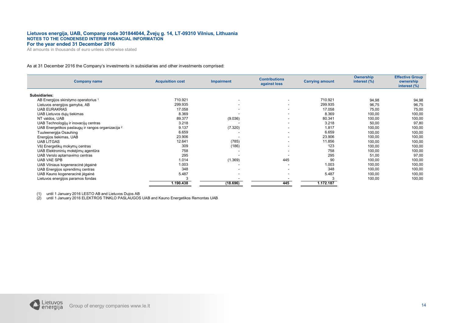All amounts in thousands of euro unless otherwise stated

#### As at 31 December 2016 the Company's investments in subsidiaries and other investments comprised:

| <b>Company name</b>                                          | <b>Acquisition cost</b> | <b>Impairment</b>        | <b>Contributions</b><br>against loss | <b>Carrying amount</b> | Ownership<br>interest (%) | <b>Effective Group</b><br>ownership<br>interest (%) |
|--------------------------------------------------------------|-------------------------|--------------------------|--------------------------------------|------------------------|---------------------------|-----------------------------------------------------|
| Subsidiaries:                                                |                         |                          |                                      |                        |                           |                                                     |
| AB Energijos skirstymo operatorius 1                         | 710.921                 |                          |                                      | 710.921                | 94,98                     | 94,98                                               |
| Lietuvos energijos gamyba, AB                                | 299.935                 | $\overline{\phantom{a}}$ | $\overline{\phantom{a}}$             | 299.935                | 96,75                     | 96,75                                               |
| <b>UAB EURAKRAS</b>                                          | 17.058                  |                          |                                      | 17.058                 | 75,00                     | 75,00                                               |
| UAB Lietuvos dujų tiekimas                                   | 8.369                   |                          | $\overline{\phantom{a}}$             | 8.369                  | 100,00                    | 100,00                                              |
| NT valdos, UAB                                               | 89.377                  | (9.036)                  |                                      | 80.341                 | 100,00                    | 100,00                                              |
| UAB Technologijų ir inovacijų centras                        | 3.218                   |                          | $\overline{\phantom{a}}$             | 3.218                  | 50,00                     | 97,80                                               |
| UAB Energetikos paslaugų ir rangos organizacija <sup>2</sup> | 9.137                   | (7.320)                  | $\overline{\phantom{a}}$             | 1.817                  | 100,00                    | 100,00                                              |
| Tuuleenergija Osauhing                                       | 6.659                   |                          |                                      | 6.659                  | 100,00                    | 100,00                                              |
| Energijos tiekimas, UAB                                      | 23.906                  |                          |                                      | 23.906                 | 100,00                    | 100,00                                              |
| <b>UAB LITGAS</b>                                            | 12.641                  | (785)                    |                                      | 11.856                 | 100,00                    | 100,00                                              |
| VšJ Energetikų mokymų centras                                | 309                     | (186)                    | $\overline{\phantom{a}}$             | 123                    | 100,00                    | 100,00                                              |
| UAB Elektroninių mokėjimų agentūra                           | 758                     |                          |                                      | 758                    | 100,00                    | 100,00                                              |
| UAB Verslo aptarnavimo centras                               | 295                     |                          |                                      | 295                    | 51,00                     | 97,00                                               |
| <b>UAB VAE SPB</b>                                           | 1.014                   | (1.369)                  | 445                                  | 90                     | 100,00                    | 100,00                                              |
| UAB Vilniaus kogeneracinė jėgainė                            | 1.003                   |                          |                                      | 1.003                  | 100,00                    | 100,00                                              |
| UAB Energijos sprendimų centras                              | 348                     |                          |                                      | 348                    | 100,00                    | 100,00                                              |
| UAB Kauno kogeneracinė jėgainė                               | 5.487                   |                          | $\overline{\phantom{a}}$             | 5.487                  | 100,00                    | 100,00                                              |
| Lietuvos energijos paramos fondas                            |                         |                          |                                      |                        | 100,00                    | 100,00                                              |
|                                                              | 1.190.438               | (18.696)                 | 445                                  | 1.172.187              |                           |                                                     |

(1) until 1 January 2016 LESTO AB and Lietuvos Dujos AB (2) until 1 January 2016 ELEKTROS TINKLO PASLAUGOS UAB and Kauno Energetikos Remontas UAB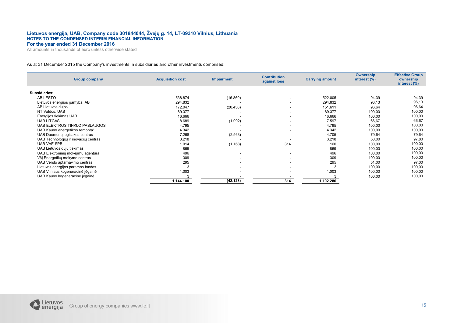All amounts in thousands of euro unless otherwise stated

#### As at 31 December 2015 the Company's investments in subsidiaries and other investments comprised:

| <b>Group company</b>                  | <b>Acquisition cost</b> | <b>Impairment</b> | <b>Contribution</b><br>against loss | <b>Carrying amount</b> | <b>Ownership</b><br>interest (%) | <b>Effective Group</b><br>ownership<br>interest (%) |
|---------------------------------------|-------------------------|-------------------|-------------------------------------|------------------------|----------------------------------|-----------------------------------------------------|
| Subsidiaries:                         |                         |                   |                                     |                        |                                  |                                                     |
| AB LESTO                              | 538.874                 | (16.869)          |                                     | 522.005                | 94,39                            | 94,39                                               |
| Lietuvos energijos gamyba, AB         | 294.832                 |                   |                                     | 294.832                | 96,13                            | 96,13                                               |
| AB Lietuvos dujos                     | 172.047                 | (20.436)          | $\overline{\phantom{a}}$            | 151.611                | 96,64                            | 96,64                                               |
| NT Valdos, UAB                        | 89.377                  |                   | ۰.                                  | 89.377                 | 100,00                           | 100,00                                              |
| Energijos tiekimas UAB                | 16.666                  |                   | $\overline{\phantom{a}}$            | 16.666                 | 100,00                           | 100,00                                              |
| <b>UAB LITGAS</b>                     | 8.689                   | (1.092)           | $\overline{\phantom{a}}$            | 7.597                  | 66,67                            | 66,67                                               |
| UAB ELEKTROS TINKLO PASLAUGOS         | 4.795                   |                   |                                     | 4.795                  | 100,00                           | 100,00                                              |
| UAB Kauno energetikos remonta"        | 4.342                   |                   | ۰.                                  | 4.342                  | 100,00                           | 100,00                                              |
| UAB Duomenų logistikos centras        | 7.268                   | (2.563)           |                                     | 4.705                  | 79,64                            | 79,64                                               |
| UAB Technologijų ir inovacijų centras | 3.218                   |                   |                                     | 3.218                  | 50,00                            | 97,80                                               |
| <b>UAB VAE SPB</b>                    | 1.014                   | (1.168)           | 314                                 | 160                    | 100,00                           | 100,00                                              |
| UAB Lietuvos dujų tiekimas            | 869                     |                   | $\overline{\phantom{a}}$            | 869                    | 100,00                           | 100,00                                              |
| UAB Elektroninių mokėjimų agentūra    | 496                     |                   | $\overline{\phantom{a}}$            | 496                    | 100,00                           | 100,00                                              |
| VšJ Energetikų mokymo centras         | 309                     |                   | $\overline{\phantom{a}}$            | 309                    | 100,00                           | 100,00                                              |
| UAB Verslo aptarnavimo centras        | 295                     |                   |                                     | 295                    | 51,00                            | 97,00                                               |
| Lietuvos energijos paramos fondas     |                         |                   | $\overline{\phantom{a}}$            |                        | 100,00                           | 100,00                                              |
| UAB Vilniaus kogeneracinė jėgainė     | 1.003                   |                   |                                     | 1.003                  | 100,00                           | 100,00                                              |
| UAB Kauno kogeneracinė jėgainė        |                         |                   |                                     |                        | 100,00                           | 100,00                                              |
|                                       | 1.144.100               | (42.128)          | 314                                 | 1.102.286              |                                  |                                                     |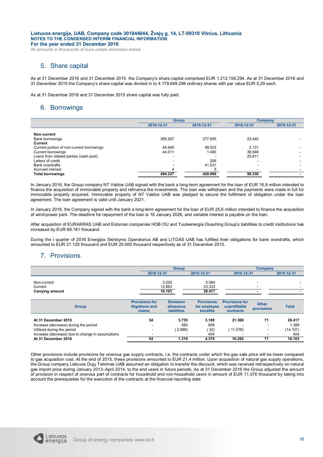All amounts in thousands of euro unless otherwise stated

## 5. Share capital

As at 31 December 2016 and 31 December 2015 the Company's share capital comprised EUR 1.212.156.294. As at 31 December 2016 and 31 December 2015 the Company's share capital was divided in to 4.179.849.289 ordinary shares with par value EUR 0,29 each.

As at 31 December 2016 and 31 December 2015 share capital was fully paid.

## 6. Borrowings

|                                           | <b>Group</b>             |            | Company    |            |
|-------------------------------------------|--------------------------|------------|------------|------------|
|                                           | 2016-12-31               | 2015-12-31 | 2016-12-31 | 2015-12-31 |
|                                           |                          |            |            |            |
| Non-current                               |                          |            |            |            |
| <b>Bank borrowings</b>                    | 365.267                  | 277.805    | 23.440     |            |
| Current                                   |                          |            |            |            |
| Current portion of non-current borrowings | 84.945                   | 99.023     | 2.131      |            |
| <b>Current borrowings</b>                 | 44.011                   | 1.490      | 38.948     |            |
| Loans from related parties (cash pool)    |                          |            | 25.811     |            |
| Letters of credit                         | $\overline{\phantom{a}}$ | 206        |            |            |
| <b>Bank overdrafts</b>                    |                          | 41.531     |            |            |
| Accrued interest                          | 4                        |            |            |            |
| <b>Total borrowings</b>                   | 494.227                  | 420.060    | 90.330     |            |

In January 2016, the Group company NT Valdos UAB signed with the bank a long-term agreement for the loan of EUR 16,9 million intended to finance the acquisition of immovable property and refinance the investments. The loan was withdrawn and the payments were made in full for immovable property acquired. Immovable property of NT Valdos UAB was pledged to secure the fulfilment of obligation under the loan agreement. The loan agreement is valid until January 2021.

In January 2016, the Company signed with the bank a long-term agreement for the loan of EUR 25,6 million intended to finance the acquisition of wind-power park. The deadline for repayment of the loan is 18 January 2026, and variable interest is payable on the loan.

After acquisition of EURAKRAS UAB and Estonian companies HOB OU and Tuuleenergia Osauhing Group's liabilities to credit institutions has increased by EUR 69.181 thousand.

During the I quarter of 2016 Energijos Skirstymo Operatorius AB and LITGAS UAB has fulfilled their obligations for bank overdrafts, which amounted to EUR 21.125 thousand and EUR 20.000 thousand respectively as of 31 December 2015.

## 7. Provisions

|                                                                                | <b>Group</b>                                         |                                                    |                                                      | Company                                            |                            |                 |
|--------------------------------------------------------------------------------|------------------------------------------------------|----------------------------------------------------|------------------------------------------------------|----------------------------------------------------|----------------------------|-----------------|
|                                                                                | 2016-12-31                                           |                                                    | 2015-12-31                                           | 2016-12-31                                         |                            | 2015-12-31      |
| Non-current<br>Current<br><b>Carrying amount</b>                               |                                                      | 3.220<br>12.883<br>16.103                          | 5.084<br>23.333<br>28.417                            |                                                    |                            |                 |
| <b>Group</b>                                                                   | <b>Provisions for</b><br>litigations and<br>claims   | <b>Emission</b><br>allowance<br><b>liabilities</b> | <b>Provisions</b><br>for employee<br><b>benefits</b> | <b>Provisions for</b><br>unprofitable<br>contracts | <b>Other</b><br>provisions | <b>Total</b>    |
| At 31 December 2015                                                            | 54                                                   | 3.735                                              | 3.189                                                | 21.368                                             | 71                         | 28.417          |
| Increase (decrease) during the period                                          | $\overline{\phantom{0}}$                             | 580                                                | 809                                                  |                                                    |                            | 1.389           |
| Utilised during the period<br>Increase (decrease) due to change in assumptions | $\overline{\phantom{a}}$<br>$\overline{\phantom{a}}$ | (2.999)                                            | 32)<br>404                                           | (11.076)                                           | $\overline{\phantom{a}}$   | (14.107)<br>404 |

Other provisions include provisions for onerous gas supply contracts, i.e. the contracts under which the gas sale price will be lower compared to gas acquisition cost. At the end of 2015, these provisions amounted to EUR 21,4 million. Upon acquisition of natural gas supply operations, the Group company Lietuvos Dujų Tiekimas UAB assumed an obligation to transfer the discount, which was received retrospectively on natural gas import price during January 2013–April 2014, to the end users in future periods. As at 31 December 2016 the Group adjusted the amount of provision in respect of onerous part of contracts for household and non-household users in amount of EUR 11.076 thousand by taking into account the prerequisites for the execution of the contracts at the financial reporting date

**At 31 December 2016 54 1.316 4.370 10.292 71 16.103**

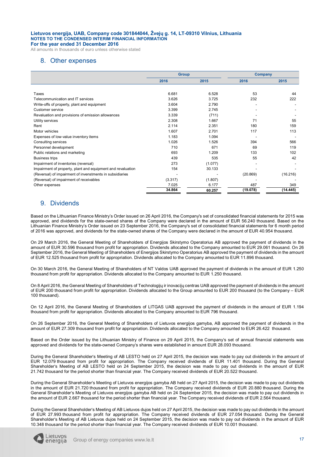All amounts in thousands of euro unless otherwise stated

## 8. Other expenses

|                                                             | <b>Group</b> |         | <b>Company</b> |          |
|-------------------------------------------------------------|--------------|---------|----------------|----------|
|                                                             | 2016         | 2015    | 2016           | 2015     |
|                                                             |              |         |                |          |
| Taxes                                                       | 6.681        | 6.528   | 53             | 44       |
| Telecommunication and IT services                           | 3.626        | 3.725   | 232            | 222      |
| Write-offs of property, plant and equipment                 | 3.604        | 2.790   |                |          |
| Customer service                                            | 3.399        | 2.745   |                |          |
| Revaluation and provisions of emission allowances           | 3.339        | (711)   |                |          |
| Utility services                                            | 2.308        | 1.667   | 71             | 55       |
| Rent                                                        | 2.114        | 2.351   | 180            | 159      |
| Motor vehicles                                              | 1.607        | 2.701   | 117            | 113      |
| Expenses of low-value inventory items                       | 1.183        | 1.094   |                |          |
| Consulting services                                         | 1.026        | 1.526   | 394            | 566      |
| Personnel development                                       | 710          | 671     | 69             | 119      |
| Public relations and marketing                              | 693          | 1.209   | 133            | 102      |
| <b>Business trips</b>                                       | 439          | 535     | 55             | 42       |
| Impairment of inventories (reversal)                        | 273          | (1.077) |                |          |
| Impairment of property, plant and equipment and revaluation | 154          | 30.133  |                |          |
| (Reversal) of impairment of invenstments in subsidiaries    |              |         | (20.869)       | (16.216) |
| (Reversal) of impairment of receivables                     | (3.317)      | (1.807) |                |          |
| Other expenses                                              | 7.025        | 6.177   | 487            | 349      |
|                                                             | 34.864       | 60.257  | (19.078)       | (14.445) |

## 9. Dividends

Based on the Lithuanian Finance Ministry's Order issued on 26 April 2016, the Company's set of consolidated financial statements for 2015 was approved, and dividends for the state-owned shares of the Company were declared in the amount of EUR 56.240 thousand. Based on the Lithuanian Finance Ministry's Order issued on 23 September 2016, the Company's set of consolidated financial statements for 6 month period of 2016 was approved, and dividends for the state-owned shares of the Company were declared in the amount of EUR 40.954 thousand.

On 29 March 2016, the General Meeting of Shareholders of Energijos Skirstymo Operatorius AB approved the payment of dividends in the amount of EUR 30.596 thousand from profit for appropriation. Dividends allocated to the Company amounted to EUR 29.061 thousand. On 26 September 2016, the General Meeting of Shareholders of Energijos Skirstymo Operatorius AB approved the payment of dividends in the amount of EUR 12.525 thousand from profit for appropriation. Dividends allocated to the Company amounted to EUR 11.896 thousand.

On 30 March 2016, the General Meeting of Shareholders of NT Valdos UAB approved the payment of dividends in the amount of EUR 1.250 thousand from profit for appropriation. Dividends allocated to the Company amounted to EUR 1.250 thousand.

On 8 April 2016, the General Meeting of Shareholders of Technologijų ir inovacijų centras UAB approved the payment of dividends in the amount of EUR 200 thousand from profit for appropriation. Dividends allocated to the Group amounted to EUR 200 thousand (to the Company – EUR 100 thousand).

On 12 April 2016, the General Meeting of Shareholders of LITGAS UAB approved the payment of dividends in the amount of EUR 1.194 thousand from profit for appropriation. Dividends allocated to the Company amounted to EUR 796 thousand.

On 26 September 2016, the General Meeting of Shareholders of Lietuvos energijos gamyba, AB approved the payment of dividends in the amount of EUR 27.309 thousand from profit for appropriation. Dividends allocated to the Company amounted to EUR 26.422 thousand.

Based on the Order issued by the Lithuanian Ministry of Finance on 29 April 2015, the Company's set of annual financial statements was approved and dividends for the state-owned Company's shares were established in amount EUR 28.093 thousand.

During the General Shareholder's Meeting of AB LESTO held on 27 April 2015, the decision was made to pay out dividends in the amount of EUR 12.079 thousand from profit for appropriation. The Company received dividends of EUR 11.401 thousand. During the General Shareholder's Meeting of AB LESTO held on 24 September 2015, the decision was made to pay out dividends in the amount of EUR 21.742 thousand for the period shorter than financial year. The Company received dividends of EUR 20.522 thousand.

During the General Shareholder's Meeting of Lietuvos energijos gamyba AB held on 27 April 2015, the decision was made to pay out dividends in the amount of EUR 21.720 thousand from profit for appropriation. The Company received dividends of EUR 20.880 thousand. During the General Shareholder's Meeting of Lietuvos energijos gamyba AB held on 24 September 2015, the decision was made to pay out dividends in the amount of EUR 2.667 thousand for the period shorter than financial year. The Company received dividends of EUR 2.564 thousand.

During the General Shareholder's Meeting of AB Lietuvos dujos held on 27 April 2015, the decision was made to pay out dividends in the amount of EUR 27.993 thousand from profit for appropriation. The Company received dividends of EUR 27.054 thousand. During the General Shareholder's Meeting of AB Lietuvos dujos held on 24 September 2015, the decision was made to pay out dividends in the amount of EUR 10.348 thousand for the period shorter than financial year. The Company received dividends of EUR 10.001 thousand.

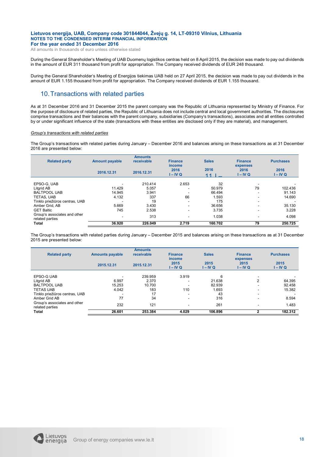All amounts in thousands of euro unless otherwise stated

During the General Shareholder's Meeting of UAB Duomenų logistikos centras held on 8 April 2015, the decision was made to pay out dividends in the amount of EUR 311 thousand from profit for appropriation. The Company received dividends of EUR 248 thousand.

During the General Shareholder's Meeting of Energijos tiekimas UAB held on 27 April 2015, the decision was made to pay out dividends in the amount of EUR 1.155 thousand from profit for appropriation. The Company received dividends of EUR 1.155 thousand.

## 10.Transactions with related parties

As at 31 December 2016 and 31 December 2015 the parent company was the Republic of Lithuania represented by Ministry of Finance. For the purpose of disclosure of related parties, the Republic of Lithuania does not include central and local government authorities. The disclosures comprise transactions and their balances with the parent company, subsidiaries (Company's transactions), associates and all entities controlled by or under significant influence of the state (transactions with these entities are disclosed only if they are material), and management.

#### *Group's transactions with related parties*

The Group's transactions with related parties during January – December 2016 and balances arising on these transactions as at 31 December 2016 are presented below:

| <b>Related party</b>                            | <b>Amount payable</b> | <b>Amounts</b><br>receivable | <b>Finance</b><br>income | <b>Sales</b>            | <b>Finance</b><br>expenses | <b>Purchases</b>   |
|-------------------------------------------------|-----------------------|------------------------------|--------------------------|-------------------------|----------------------------|--------------------|
|                                                 | 2016.12.31            | 2016.12.31                   | 2016<br>$I - IV Q$       | 2016<br>11 <sub>1</sub> | 2016<br>I – IV Q           | 2016<br>$I - IV Q$ |
| EPSO-G. UAB                                     |                       | 210.414                      | 2.653                    | 32                      |                            |                    |
| Litgrid AB                                      | 11.429                | 5.057                        |                          | 50.979                  | 79                         | 102.436            |
| <b>BALTPOOL UAB</b>                             | 14.945                | 3.941                        |                          | 66.494                  | $\overline{\phantom{a}}$   | 91.143             |
| TETAS, UAB                                      | 4.132                 | 337                          | 66                       | 1.593                   | $\overline{\phantom{a}}$   | 14.690             |
| Tinklo priežiūros centras, UAB                  | ۰                     | 19                           | ٠                        | 175                     | $\overline{\phantom{a}}$   |                    |
| Amber Grid, AB                                  | 5.669                 | 3.430                        | ۰.                       | 36.656                  | ۰                          | 35.130             |
| <b>GET Baltic</b>                               | 745                   | 2.538                        | ۰.                       | 3.735                   | $\overline{\phantom{a}}$   | 3.228              |
| Group's associates and other<br>related parties | ۰                     | 313                          | ۰.                       | 1.038                   | $\overline{\phantom{a}}$   | 4.098              |
| <b>Total</b>                                    | 36.920                | 226.049                      | 2.719                    | 160.702                 | 79                         | 250.725            |

The Group's transactions with related parties during January – December 2015 and balances arising on these transactions as at 31 December 2015 are presented below:

| <b>Related party</b>                            | <b>Amounts payable</b> | <b>Amounts</b><br>receivable | <b>Finance</b><br>income | <b>Sales</b>     | <b>Finance</b><br>expenses | <b>Purchases</b> |
|-------------------------------------------------|------------------------|------------------------------|--------------------------|------------------|----------------------------|------------------|
|                                                 | 2015.12.31             | 2015.12.31                   | 2015<br>$I - IV Q$       | 2015<br>I – IV Q | 2015<br>I – IV Q           | 2015<br>I – IV Q |
| EPSO-G UAB                                      |                        | 239.959                      | 3.919                    | 6                |                            |                  |
| Litgrid AB                                      | 6.997                  | 2.370                        |                          | 21.638           | 2                          | 64.395           |
| <b>BALTPOOL UAB</b>                             | 15.253                 | 10.700                       |                          | 82.939           |                            | 92.458           |
| <b>TETAS UAB</b>                                | 4.042                  | 183                          | 110                      | 1.693            |                            | 15.382           |
| Tinklo priežiūros centras, UAB                  |                        | 17                           |                          | 43               | -                          |                  |
| Amber Grid AB                                   | 77                     | 34                           | $\overline{\phantom{a}}$ | 316              | -                          | 8.594            |
| Group's associates and other<br>related parties | 232                    | 121                          |                          | 261              |                            | 1.483            |
| <b>Total</b>                                    | 26.601                 | 253.384                      | 4.029                    | 106.896          |                            | 182.312          |

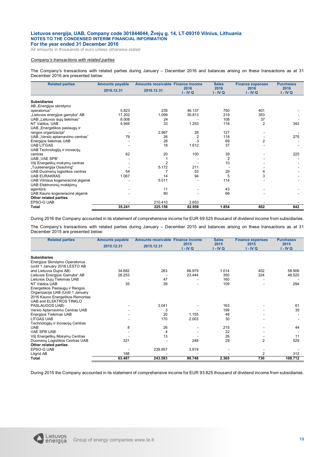All amounts in thousands of euro unless otherwise stated

#### *Company's transactions with related parties*

The Company's transactions with related parties during January – December 2016 and balances arising on these transactions as at 31 December 2016 are presented below:

| <b>Related parties</b>            | <b>Amounts payable</b> | Amounts receivable Finance income |                    | <b>Sales</b>       | <b>Finance expenses</b> | <b>Purchases</b>   |
|-----------------------------------|------------------------|-----------------------------------|--------------------|--------------------|-------------------------|--------------------|
|                                   | 2016.12.31             | 2016.12.31                        | 2016<br>$I - IV Q$ | 2016<br>$I - IV Q$ | 2016<br>$I - IV Q$      | 2016<br>$I - IV Q$ |
| <b>Subsidiaries</b>               |                        |                                   |                    |                    |                         |                    |
| AB "Energijos skirstymo           |                        |                                   |                    |                    |                         |                    |
| operatorius"                      | 5.823                  | 235                               | 46.137             | 750                | 401                     |                    |
| "Lietuvos energijos gamyba" AB    | 17.202                 | 1.099                             | 30.813             | 219                | 353                     |                    |
| UAB "Lietuvos dujų tiekimas"      | 6.008                  | 24                                |                    | 108                | 37                      |                    |
| NT Valdos, UAB                    | 4.946                  | 33                                | 1.253              | 118                | $\overline{2}$          | 342                |
| UAB "Energetikos paslaugų ir      |                        |                                   |                    |                    |                         |                    |
| rangos organizacija"              |                        | 2.967                             | 28                 | 127                |                         |                    |
| UAB "Verslo aptarnavimo centras"  | 79                     | 26                                | $\overline{2}$     | 118                |                         | 275                |
| Energijos tiekimas UAB            |                        | 28                                | 3                  | 69                 | 2                       |                    |
| <b>UAB LITGAS</b>                 |                        | 18                                | 1.612              | 37                 |                         |                    |
| UAB Technologijų ir inovacijų     |                        |                                   |                    |                    |                         |                    |
| centras                           | 62                     | 20                                | 100                | 39                 |                         | 225                |
| <b>UAB</b> "VAE SPB"              |                        |                                   |                    | $\overline{2}$     |                         |                    |
| VšJ Energetikų mokymų centras     |                        |                                   |                    | 10                 |                         |                    |
| "Tuuleenergija Osauhing"          |                        | 5.172                             | 211                |                    |                         |                    |
| UAB Duomenų logistikos centras    | 54                     |                                   | 53                 | 29                 | 4                       |                    |
| <b>UAB EURAKRAS</b>               | 1.067                  | 14                                | 94                 | 5                  | 3                       |                    |
| UAB Vilniaus kogeneracinė jėgainė |                        | 5.011                             |                    | 114                |                         |                    |
| UAB Elektroninių mokėjimų         |                        |                                   |                    |                    |                         |                    |
| agentūra                          |                        | 11                                |                    | 43                 |                         |                    |
| UAB Kauno kogeneracinė jėgainė    |                        | 80                                |                    | 66                 |                         |                    |
| Other related parties             |                        |                                   |                    |                    |                         |                    |
| EPSO-G UAB                        |                        | 210.410                           | 2.653              |                    |                         |                    |
| <b>Total</b>                      | 35.241                 | 225.158                           | 82.959             | 1.854              | 802                     | 842                |

During 2016 the Company accounted in its statement of comprehensive income for EUR 69.525 thousand of dividend income from subsidiaries.

The Company's transactions with related parties during January – December 2015 and balances arising on these transactions as at 31 December 2015 are presented below:

| <b>Related parties</b>            | <b>Amounts payable</b> | Amounts receivable Finance income |            | <b>Sales</b> | <b>Finance expenses</b> | <b>Purchases</b> |
|-----------------------------------|------------------------|-----------------------------------|------------|--------------|-------------------------|------------------|
|                                   | 2015.12.31             | 2015.12.31                        | 2015       | 2015         | 2015                    | 2015             |
|                                   |                        |                                   | $I - IV Q$ | $I - IV Q$   | $I - IV Q$              | I-IVQ            |
| <b>Subsidiaries</b>               |                        |                                   |            |              |                         |                  |
| Energijos Skirstymo Operatorius   |                        |                                   |            |              |                         |                  |
| (until 1 January 2016 LESTO AB    |                        |                                   |            |              |                         |                  |
| and Lietuvos Dujos AB)            | 34.682                 | 263                               | 68.979     | 1.014        | 402                     | 58.906           |
| Lietuvos Energijos Gamyba" AB     | 28.253                 |                                   | 23.444     | 350          | 324                     | 48.520           |
| Lietuvos Dujų Tiekimas UAB        |                        | 47                                |            | 160          |                         |                  |
| NT Valdos UAB                     | 35                     | 39                                |            | 109          |                         | 294              |
| Energetikos Paslaugų ir Rangos    |                        |                                   |            |              |                         |                  |
| Organizacija UAB (Until 1 January |                        |                                   |            |              |                         |                  |
| 2016 Kauno Energetikos Remontas   |                        |                                   |            |              |                         |                  |
| UAB and ELEKTROS TINKLO           |                        |                                   |            |              |                         |                  |
| PASLAUGOS UAB)                    |                        | 3.041                             |            | 163          |                         | 61               |
| Verslo Aptarnavimo Centras UAB    |                        | 3                                 |            | 199          |                         | 35               |
| Energijos Tiekimas UAB            |                        | 20                                | 1.155      | 48           |                         |                  |
| <b>LITGAS UAB</b>                 |                        | 170                               | 2.003      | 30           |                         |                  |
| Technologijų ir Inovacijų Centras |                        |                                   |            |              |                         |                  |
| <b>UAB</b>                        | 8                      | 26                                |            | 215          |                         | 44               |
| <b>VAE SPB UAB</b>                |                        | 4                                 |            | 22           |                         |                  |
| VšJ Energetikų Mokymų Centras     |                        | 13                                |            | 26           |                         | 11               |
| Duomenų Logistikos Centras UAB    | 321                    |                                   | 248        | 29           | $\overline{2}$          | 529              |
| Other related parties             |                        |                                   |            |              |                         |                  |
| <b>EPSO-G UAB</b>                 |                        | 239.957                           | 3.919      |              |                         |                  |
| Litgrid AB                        | 188                    |                                   |            |              | $\mathfrak{p}$          | 312              |
| Total                             | 63.487                 | 243.583                           | 99.748     | 2.365        | 730                     | 108.712          |

During 2015 the Company accounted in its statement of comprehensive income for EUR 93.825 thousand of dividend income from subsidiaries.